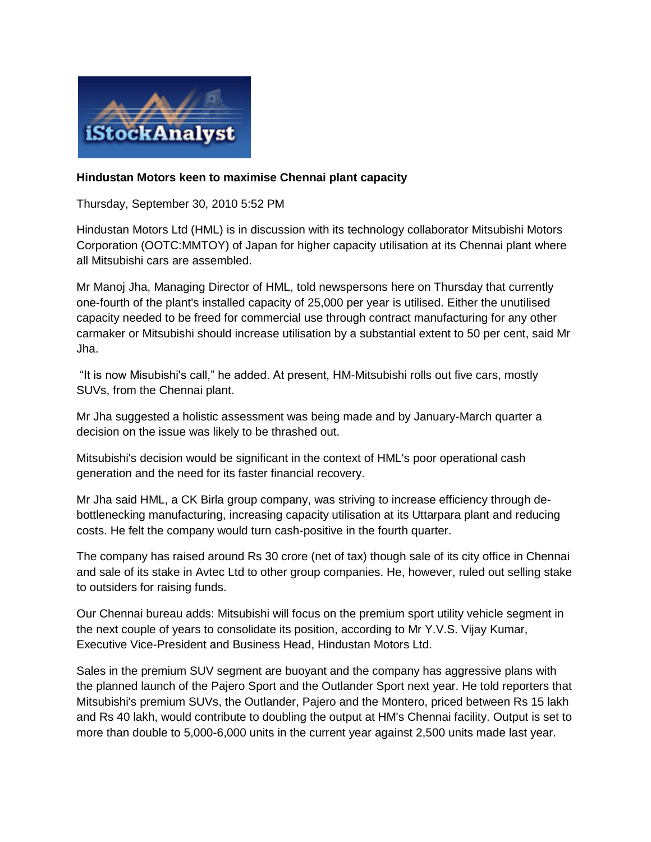

## **Hindustan Motors keen to maximise Chennai plant capacity**

Thursday, September 30, 2010 5:52 PM

Hindustan Motors Ltd (HML) is in discussion with its technology collaborator Mitsubishi Motors Corporation (OOTC:MMTOY) of Japan for higher capacity utilisation at its Chennai plant where all Mitsubishi cars are assembled.

Mr Manoj Jha, Managing Director of HML, told newspersons here on Thursday that currently one-fourth of the plant's installed capacity of 25,000 per year is utilised. Either the unutilised capacity needed to be freed for commercial use through contract manufacturing for any other carmaker or Mitsubishi should increase utilisation by a substantial extent to 50 per cent, said Mr Jha.

"It is now Misubishi's call," he added. At present, HM-Mitsubishi rolls out five cars, mostly SUVs, from the Chennai plant.

Mr Jha suggested a holistic assessment was being made and by January-March quarter a decision on the issue was likely to be thrashed out.

Mitsubishi's decision would be significant in the context of HML's poor operational cash generation and the need for its faster financial recovery.

Mr Jha said HML, a CK Birla group company, was striving to increase efficiency through debottlenecking manufacturing, increasing capacity utilisation at its Uttarpara plant and reducing costs. He felt the company would turn cash-positive in the fourth quarter.

The company has raised around Rs 30 crore (net of tax) though sale of its city office in Chennai and sale of its stake in Avtec Ltd to other group companies. He, however, ruled out selling stake to outsiders for raising funds.

Our Chennai bureau adds: Mitsubishi will focus on the premium sport utility vehicle segment in the next couple of years to consolidate its position, according to Mr Y.V.S. Vijay Kumar, Executive Vice-President and Business Head, Hindustan Motors Ltd.

Sales in the premium SUV segment are buoyant and the company has aggressive plans with the planned launch of the Pajero Sport and the Outlander Sport next year. He told reporters that Mitsubishi's premium SUVs, the Outlander, Pajero and the Montero, priced between Rs 15 lakh and Rs 40 lakh, would contribute to doubling the output at HM's Chennai facility. Output is set to more than double to 5,000-6,000 units in the current year against 2,500 units made last year.